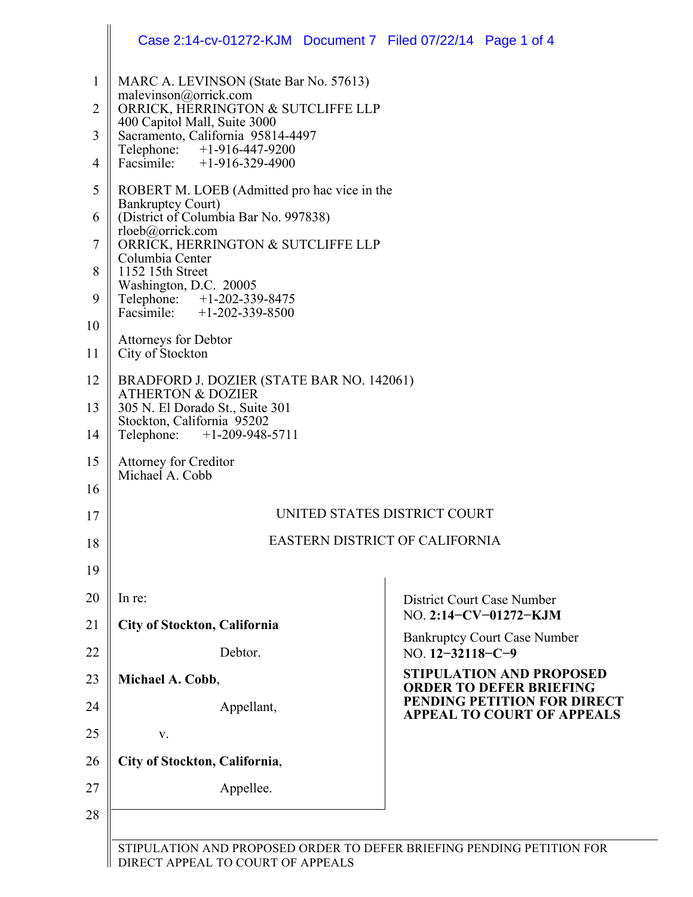|                                                                  | Case 2:14-cv-01272-KJM  Document 7  Filed 07/22/14  Page 1 of 4                                                                                                                                                                                                                                                                                                                                                                                                                                                                         |                                                                   |  |
|------------------------------------------------------------------|-----------------------------------------------------------------------------------------------------------------------------------------------------------------------------------------------------------------------------------------------------------------------------------------------------------------------------------------------------------------------------------------------------------------------------------------------------------------------------------------------------------------------------------------|-------------------------------------------------------------------|--|
| $\mathbf{1}$<br>$\overline{2}$<br>3                              | MARC A. LEVINSON (State Bar No. 57613)<br>malevinson@orrick.com<br>ORRICK, HERRINGTON & SUTCLIFFE LLP<br>400 Capitol Mall, Suite 3000<br>Sacramento, California 95814-4497                                                                                                                                                                                                                                                                                                                                                              |                                                                   |  |
| 4                                                                | Telephone: +1-916-447-9200<br>Facsimile: +1-916-329-4900                                                                                                                                                                                                                                                                                                                                                                                                                                                                                |                                                                   |  |
| 5<br>6<br>$\overline{7}$<br>8<br>9<br>10<br>11<br>12<br>13<br>14 | ROBERT M. LOEB (Admitted pro hac vice in the<br><b>Bankruptcy Court)</b><br>(District of Columbia Bar No. 997838)<br>rloeb@orrick.com<br>ORRICK, HERRINGTON & SUTCLIFFE LLP<br>Columbia Center<br>1152 15th Street<br>Washington, D.C. 20005<br>Telephone: +1-202-339-8475<br>Facsimile: +1-202-339-8500<br><b>Attorneys for Debtor</b><br>City of Stockton<br>BRADFORD J. DOZIER (STATE BAR NO. 142061)<br><b>ATHERTON &amp; DOZIER</b><br>305 N. El Dorado St., Suite 301<br>Stockton, California 95202<br>Telephone: +1-209-948-5711 |                                                                   |  |
| 15<br>16                                                         | <b>Attorney for Creditor</b><br>Michael A. Cobb                                                                                                                                                                                                                                                                                                                                                                                                                                                                                         |                                                                   |  |
| 17                                                               | UNITED STATES DISTRICT COURT<br>EASTERN DISTRICT OF CALIFORNIA                                                                                                                                                                                                                                                                                                                                                                                                                                                                          |                                                                   |  |
| 18<br>19                                                         |                                                                                                                                                                                                                                                                                                                                                                                                                                                                                                                                         |                                                                   |  |
| 20                                                               | In re:                                                                                                                                                                                                                                                                                                                                                                                                                                                                                                                                  | District Court Case Number                                        |  |
| 21                                                               | City of Stockton, California                                                                                                                                                                                                                                                                                                                                                                                                                                                                                                            | NO. 2:14-CV-01272-KJM                                             |  |
| 22                                                               | Debtor.                                                                                                                                                                                                                                                                                                                                                                                                                                                                                                                                 | <b>Bankruptcy Court Case Number</b><br>NO. 12-32118-C-9           |  |
| 23                                                               | Michael A. Cobb,                                                                                                                                                                                                                                                                                                                                                                                                                                                                                                                        | <b>STIPULATION AND PROPOSED</b><br><b>ORDER TO DEFER BRIEFING</b> |  |
| 24                                                               | Appellant,                                                                                                                                                                                                                                                                                                                                                                                                                                                                                                                              | PENDING PETITION FOR DIRECT<br><b>APPEAL TO COURT OF APPEALS</b>  |  |
| 25                                                               | V.                                                                                                                                                                                                                                                                                                                                                                                                                                                                                                                                      |                                                                   |  |
| 26                                                               | City of Stockton, California,                                                                                                                                                                                                                                                                                                                                                                                                                                                                                                           |                                                                   |  |
| 27                                                               | Appellee.                                                                                                                                                                                                                                                                                                                                                                                                                                                                                                                               |                                                                   |  |
| 28                                                               |                                                                                                                                                                                                                                                                                                                                                                                                                                                                                                                                         |                                                                   |  |
|                                                                  |                                                                                                                                                                                                                                                                                                                                                                                                                                                                                                                                         |                                                                   |  |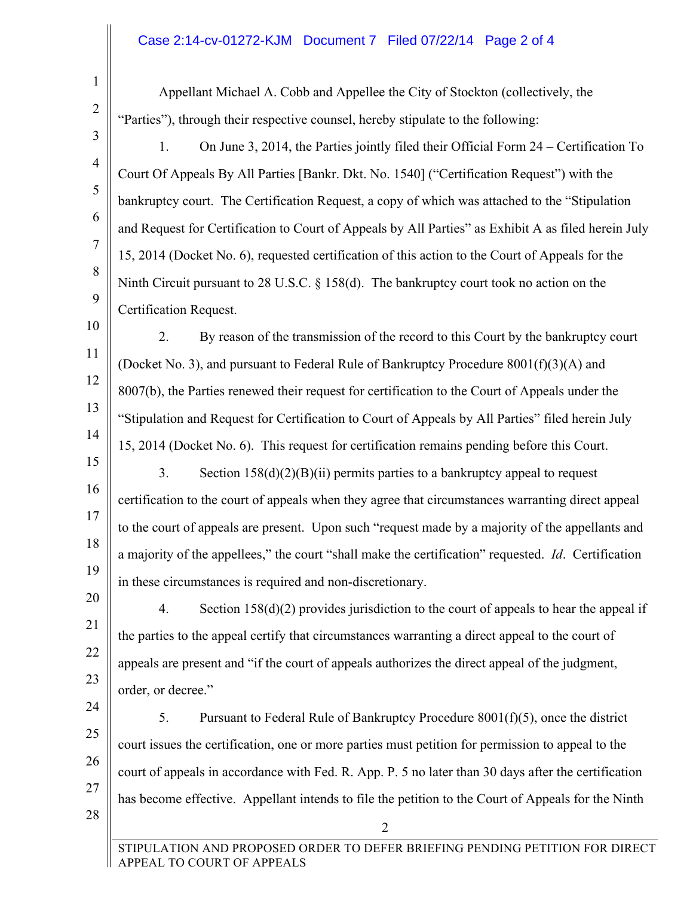## Case 2:14-cv-01272-KJM Document 7 Filed 07/22/14 Page 2 of 4

1

2

3

4

5

6

7

8

9

27

28

Appellant Michael A. Cobb and Appellee the City of Stockton (collectively, the "Parties"), through their respective counsel, hereby stipulate to the following:

- 1. On June 3, 2014, the Parties jointly filed their Official Form 24 Certification To Court Of Appeals By All Parties [Bankr. Dkt. No. 1540] ("Certification Request") with the bankruptcy court. The Certification Request, a copy of which was attached to the "Stipulation and Request for Certification to Court of Appeals by All Parties" as Exhibit A as filed herein July 15, 2014 (Docket No. 6), requested certification of this action to the Court of Appeals for the Ninth Circuit pursuant to 28 U.S.C. § 158(d). The bankruptcy court took no action on the Certification Request.
- 10 11 12 13 14 2. By reason of the transmission of the record to this Court by the bankruptcy court (Docket No. 3), and pursuant to Federal Rule of Bankruptcy Procedure 8001(f)(3)(A) and 8007(b), the Parties renewed their request for certification to the Court of Appeals under the "Stipulation and Request for Certification to Court of Appeals by All Parties" filed herein July 15, 2014 (Docket No. 6). This request for certification remains pending before this Court.
- 15 16 17 18 19 3. Section  $158(d)(2)(B)(ii)$  permits parties to a bankruptcy appeal to request certification to the court of appeals when they agree that circumstances warranting direct appeal to the court of appeals are present. Upon such "request made by a majority of the appellants and a majority of the appellees," the court "shall make the certification" requested. *Id*. Certification in these circumstances is required and non-discretionary.
- 20 21 22 23 4. Section 158(d)(2) provides jurisdiction to the court of appeals to hear the appeal if the parties to the appeal certify that circumstances warranting a direct appeal to the court of appeals are present and "if the court of appeals authorizes the direct appeal of the judgment, order, or decree."
- 24 25 26 5. Pursuant to Federal Rule of Bankruptcy Procedure 8001(f)(5), once the district court issues the certification, one or more parties must petition for permission to appeal to the court of appeals in accordance with Fed. R. App. P. 5 no later than 30 days after the certification has become effective. Appellant intends to file the petition to the Court of Appeals for the Ninth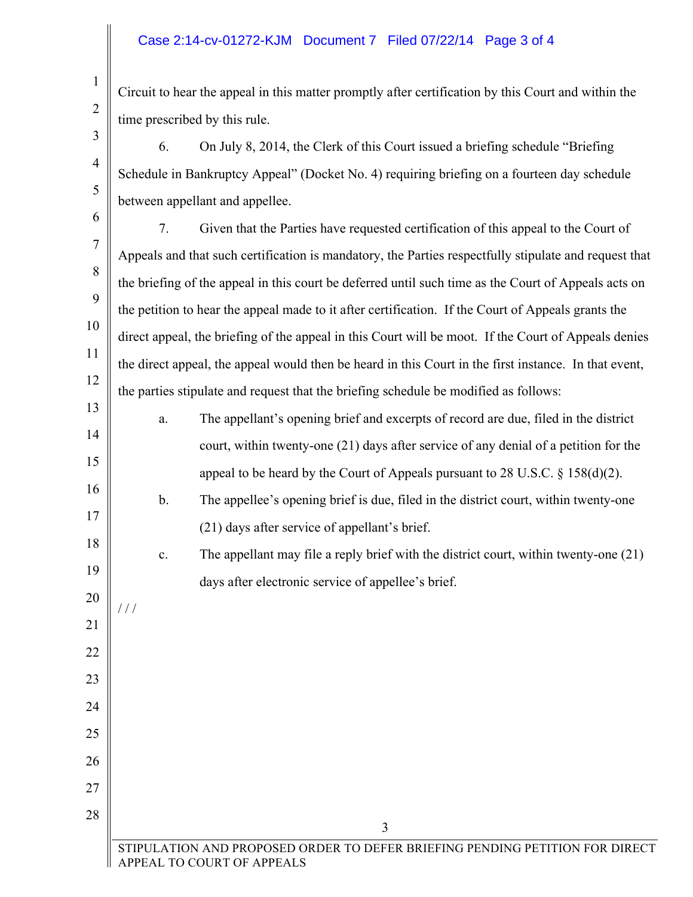## Case 2:14-cv-01272-KJM Document 7 Filed 07/22/14 Page 3 of 4

Circuit to hear the appeal in this matter promptly after certification by this Court and within the time prescribed by this rule.

- 6. On July 8, 2014, the Clerk of this Court issued a briefing schedule "Briefing Schedule in Bankruptcy Appeal" (Docket No. 4) requiring briefing on a fourteen day schedule between appellant and appellee.
- 6

21

/ / /

22

23

24

25

26

27

28

1

2

3

4

5

7 8 9 10 11 12 7. Given that the Parties have requested certification of this appeal to the Court of Appeals and that such certification is mandatory, the Parties respectfully stipulate and request that the briefing of the appeal in this court be deferred until such time as the Court of Appeals acts on the petition to hear the appeal made to it after certification. If the Court of Appeals grants the direct appeal, the briefing of the appeal in this Court will be moot. If the Court of Appeals denies the direct appeal, the appeal would then be heard in this Court in the first instance. In that event, the parties stipulate and request that the briefing schedule be modified as follows:

- 13 14 15 a. The appellant's opening brief and excerpts of record are due, filed in the district court, within twenty-one (21) days after service of any denial of a petition for the appeal to be heard by the Court of Appeals pursuant to 28 U.S.C. § 158(d)(2).
- 16 17 b. The appellee's opening brief is due, filed in the district court, within twenty-one (21) days after service of appellant's brief.
- 18 19 20 c. The appellant may file a reply brief with the district court, within twenty-one (21) days after electronic service of appellee's brief.

3 STIPULATION AND PROPOSED ORDER TO DEFER BRIEFING PENDING PETITION FOR DIRECT APPEAL TO COURT OF APPEALS